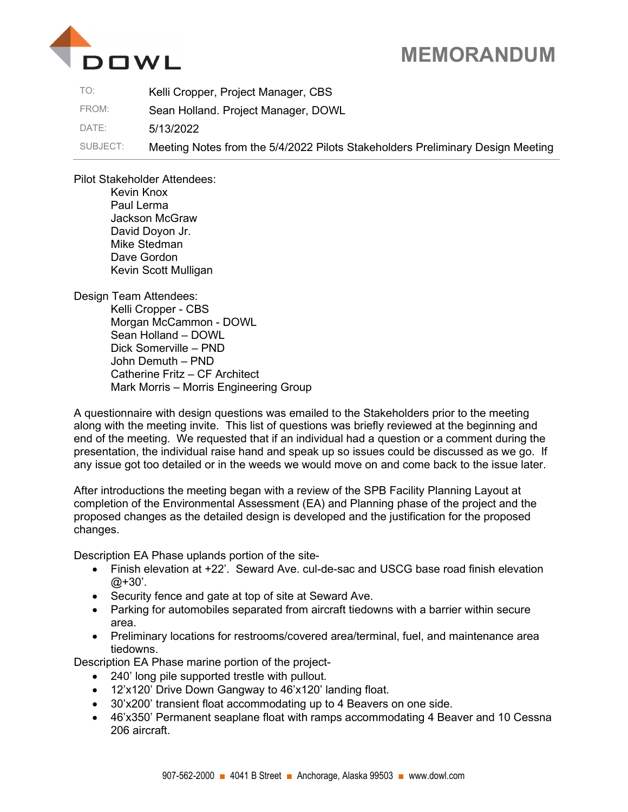

## MEMORANDUM

| TO:      | Kelli Cropper, Project Manager, CBS                                            |
|----------|--------------------------------------------------------------------------------|
| FROM:    | Sean Holland. Project Manager, DOWL                                            |
| DATE:    | 5/13/2022                                                                      |
| SUBJECT: | Meeting Notes from the 5/4/2022 Pilots Stakeholders Preliminary Design Meeting |

Pilot Stakeholder Attendees:

Kevin Knox Paul Lerma Jackson McGraw David Doyon Jr. Mike Stedman Dave Gordon Kevin Scott Mulligan

Design Team Attendees:

Kelli Cropper - CBS Morgan McCammon - DOWL Sean Holland – DOWL Dick Somerville – PND John Demuth – PND Catherine Fritz – CF Architect Mark Morris – Morris Engineering Group

A questionnaire with design questions was emailed to the Stakeholders prior to the meeting along with the meeting invite. This list of questions was briefly reviewed at the beginning and end of the meeting. We requested that if an individual had a question or a comment during the presentation, the individual raise hand and speak up so issues could be discussed as we go. If any issue got too detailed or in the weeds we would move on and come back to the issue later.

After introductions the meeting began with a review of the SPB Facility Planning Layout at completion of the Environmental Assessment (EA) and Planning phase of the project and the proposed changes as the detailed design is developed and the justification for the proposed changes.

Description EA Phase uplands portion of the site-

- Finish elevation at +22'. Seward Ave. cul-de-sac and USCG base road finish elevation  $@+30'.$
- Security fence and gate at top of site at Seward Ave.
- Parking for automobiles separated from aircraft tiedowns with a barrier within secure area.
- Preliminary locations for restrooms/covered area/terminal, fuel, and maintenance area tiedowns.

Description EA Phase marine portion of the project-

- 240' long pile supported trestle with pullout.
- 12'x120' Drive Down Gangway to 46'x120' landing float.
- 30'x200' transient float accommodating up to 4 Beavers on one side.
- 46'x350' Permanent seaplane float with ramps accommodating 4 Beaver and 10 Cessna 206 aircraft.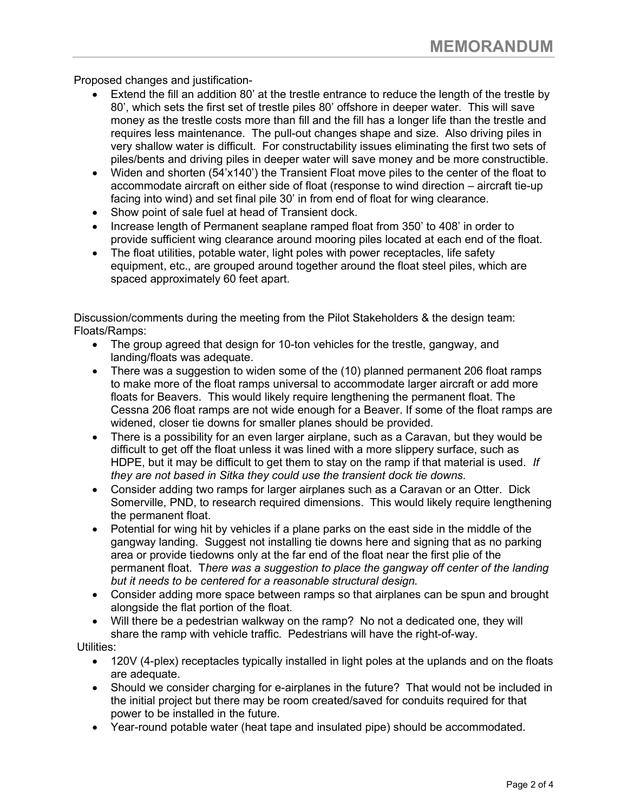Proposed changes and justification-

- Extend the fill an addition 80' at the trestle entrance to reduce the length of the trestle by 80', which sets the first set of trestle piles 80' offshore in deeper water. This will save money as the trestle costs more than fill and the fill has a longer life than the trestle and requires less maintenance. The pull-out changes shape and size. Also driving piles in very shallow water is difficult. For constructability issues eliminating the first two sets of piles/bents and driving piles in deeper water will save money and be more constructible.
- Widen and shorten (54'x140') the Transient Float move piles to the center of the float to accommodate aircraft on either side of float (response to wind direction – aircraft tie-up facing into wind) and set final pile 30' in from end of float for wing clearance.
- Show point of sale fuel at head of Transient dock.
- Increase length of Permanent seaplane ramped float from 350' to 408' in order to provide sufficient wing clearance around mooring piles located at each end of the float.
- The float utilities, potable water, light poles with power receptacles, life safety equipment, etc., are grouped around together around the float steel piles, which are spaced approximately 60 feet apart.

Discussion/comments during the meeting from the Pilot Stakeholders & the design team: Floats/Ramps:

- The group agreed that design for 10-ton vehicles for the trestle, gangway, and landing/floats was adequate.
- There was a suggestion to widen some of the (10) planned permanent 206 float ramps to make more of the float ramps universal to accommodate larger aircraft or add more floats for Beavers. This would likely require lengthening the permanent float. The Cessna 206 float ramps are not wide enough for a Beaver. If some of the float ramps are widened, closer tie downs for smaller planes should be provided.
- There is a possibility for an even larger airplane, such as a Caravan, but they would be difficult to get off the float unless it was lined with a more slippery surface, such as HDPE, but it may be difficult to get them to stay on the ramp if that material is used. If they are not based in Sitka they could use the transient dock tie downs.
- Consider adding two ramps for larger airplanes such as a Caravan or an Otter. Dick Somerville, PND, to research required dimensions. This would likely require lengthening the permanent float.
- Potential for wing hit by vehicles if a plane parks on the east side in the middle of the gangway landing. Suggest not installing tie downs here and signing that as no parking area or provide tiedowns only at the far end of the float near the first plie of the permanent float. There was a suggestion to place the gangway off center of the landing but it needs to be centered for a reasonable structural design.
- Consider adding more space between ramps so that airplanes can be spun and brought alongside the flat portion of the float.
- Will there be a pedestrian walkway on the ramp? No not a dedicated one, they will share the ramp with vehicle traffic. Pedestrians will have the right-of-way.

Utilities:

- 120V (4-plex) receptacles typically installed in light poles at the uplands and on the floats are adequate.
- Should we consider charging for e-airplanes in the future? That would not be included in the initial project but there may be room created/saved for conduits required for that power to be installed in the future.
- Year-round potable water (heat tape and insulated pipe) should be accommodated.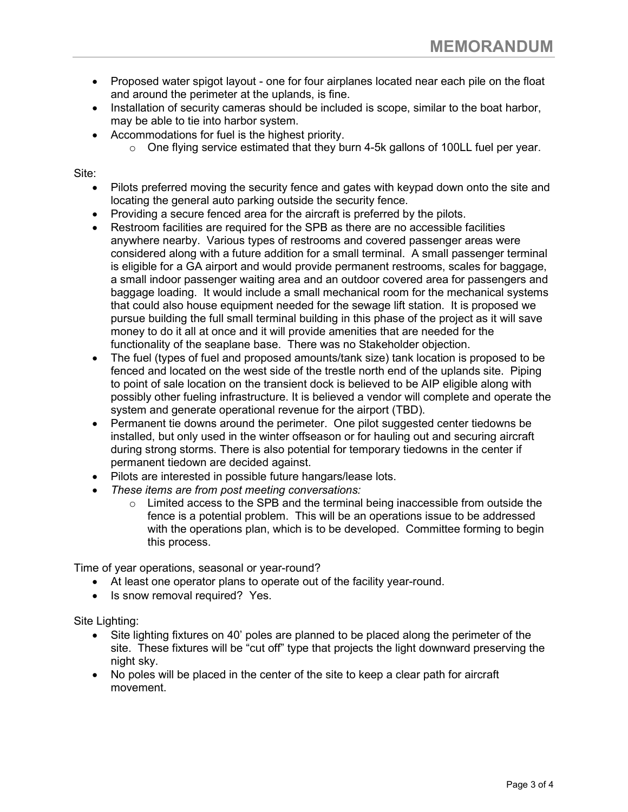- Proposed water spigot layout one for four airplanes located near each pile on the float and around the perimeter at the uplands, is fine.
- Installation of security cameras should be included is scope, similar to the boat harbor, may be able to tie into harbor system.
- Accommodations for fuel is the highest priority.
	- o One flying service estimated that they burn 4-5k gallons of 100LL fuel per year.

Site:

- Pilots preferred moving the security fence and gates with keypad down onto the site and locating the general auto parking outside the security fence.
- Providing a secure fenced area for the aircraft is preferred by the pilots.
- Restroom facilities are required for the SPB as there are no accessible facilities anywhere nearby. Various types of restrooms and covered passenger areas were considered along with a future addition for a small terminal. A small passenger terminal is eligible for a GA airport and would provide permanent restrooms, scales for baggage, a small indoor passenger waiting area and an outdoor covered area for passengers and baggage loading. It would include a small mechanical room for the mechanical systems that could also house equipment needed for the sewage lift station. It is proposed we pursue building the full small terminal building in this phase of the project as it will save money to do it all at once and it will provide amenities that are needed for the functionality of the seaplane base. There was no Stakeholder objection.
- The fuel (types of fuel and proposed amounts/tank size) tank location is proposed to be fenced and located on the west side of the trestle north end of the uplands site. Piping to point of sale location on the transient dock is believed to be AIP eligible along with possibly other fueling infrastructure. It is believed a vendor will complete and operate the system and generate operational revenue for the airport (TBD).
- Permanent tie downs around the perimeter. One pilot suggested center tiedowns be installed, but only used in the winter offseason or for hauling out and securing aircraft during strong storms. There is also potential for temporary tiedowns in the center if permanent tiedown are decided against.
- Pilots are interested in possible future hangars/lease lots.
- These items are from post meeting conversations:
	- $\circ$  Limited access to the SPB and the terminal being inaccessible from outside the fence is a potential problem. This will be an operations issue to be addressed with the operations plan, which is to be developed. Committee forming to begin this process.

Time of year operations, seasonal or year-round?

- At least one operator plans to operate out of the facility year-round.
- Is snow removal required? Yes.

Site Lighting:

- Site lighting fixtures on 40' poles are planned to be placed along the perimeter of the site. These fixtures will be "cut off" type that projects the light downward preserving the night sky.
- No poles will be placed in the center of the site to keep a clear path for aircraft movement.